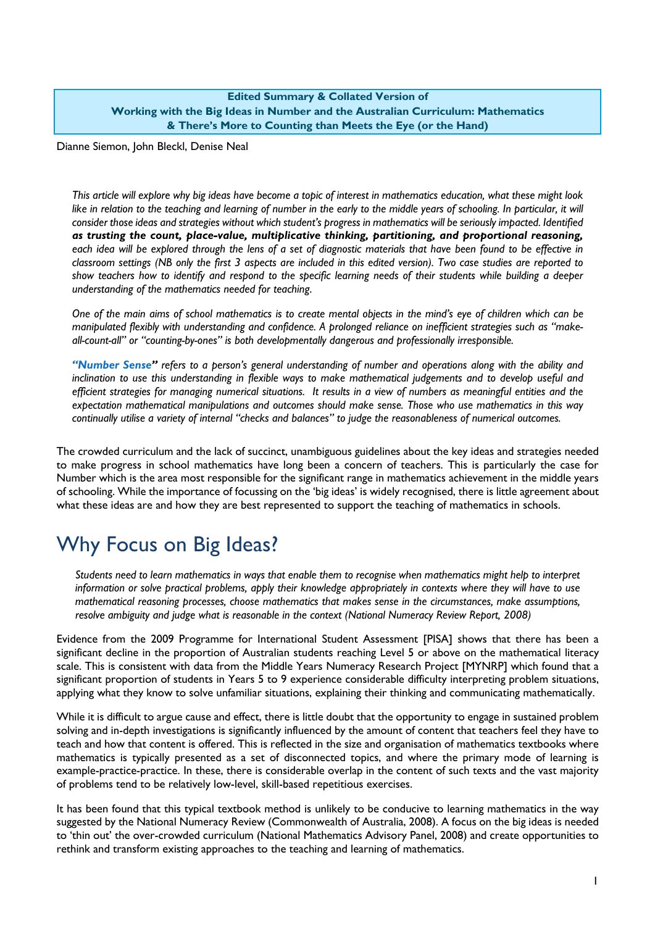#### **Edited Summary & Collated Version of Working with the Big Ideas in Number and the Australian Curriculum: Mathematics & There's More to Counting than Meets the Eye (or the Hand)**

Dianne Siemon, John Bleckl, Denise Neal

*This article will explore why big ideas have become a topic of interest in mathematics education, what these might look*  like in relation to the teaching and learning of number in the early to the middle years of schooling. In particular, it will *consider those ideas and strategies without which student's progress in mathematics will be seriously impacted. Identified as trusting the count, place-value, multiplicative thinking, partitioning, and proportional reasoning,* each idea will be explored through the lens of a set of diagnostic materials that have been found to be effective in *classroom settings (NB only the first 3 aspects are included in this edited version). Two case studies are reported to show teachers how to identify and respond to the specific learning needs of their students while building a deeper understanding of the mathematics needed for teaching*.

*One of the main aims of school mathematics is to create mental objects in the mind's eye of children which can be manipulated flexibly with understanding and confidence. A prolonged reliance on inefficient strategies such as "makeall-count-all" or "counting-by-ones" is both developmentally dangerous and professionally irresponsible.* 

*"Number Sense" refers to a person's general understanding of number and operations along with the ability and*  inclination to use this understanding in flexible ways to make mathematical judgements and to develop useful and *efficient strategies for managing numerical situations. It results in a view of numbers as meaningful entities and the expectation mathematical manipulations and outcomes should make sense. Those who use mathematics in this way continually utilise a variety of internal "checks and balances" to judge the reasonableness of numerical outcomes.*

The crowded curriculum and the lack of succinct, unambiguous guidelines about the key ideas and strategies needed to make progress in school mathematics have long been a concern of teachers. This is particularly the case for Number which is the area most responsible for the significant range in mathematics achievement in the middle years of schooling. While the importance of focussing on the 'big ideas' is widely recognised, there is little agreement about what these ideas are and how they are best represented to support the teaching of mathematics in schools.

# Why Focus on Big Ideas?

*Students need to learn mathematics in ways that enable them to recognise when mathematics might help to interpret information or solve practical problems, apply their knowledge appropriately in contexts where they will have to use mathematical reasoning processes, choose mathematics that makes sense in the circumstances, make assumptions, resolve ambiguity and judge what is reasonable in the context (National Numeracy Review Report, 2008)*

Evidence from the 2009 Programme for International Student Assessment [PISA] shows that there has been a significant decline in the proportion of Australian students reaching Level 5 or above on the mathematical literacy scale. This is consistent with data from the Middle Years Numeracy Research Project [MYNRP] which found that a significant proportion of students in Years 5 to 9 experience considerable difficulty interpreting problem situations, applying what they know to solve unfamiliar situations, explaining their thinking and communicating mathematically.

While it is difficult to argue cause and effect, there is little doubt that the opportunity to engage in sustained problem solving and in-depth investigations is significantly influenced by the amount of content that teachers feel they have to teach and how that content is offered. This is reflected in the size and organisation of mathematics textbooks where mathematics is typically presented as a set of disconnected topics, and where the primary mode of learning is example-practice-practice. In these, there is considerable overlap in the content of such texts and the vast majority of problems tend to be relatively low-level, skill-based repetitious exercises.

It has been found that this typical textbook method is unlikely to be conducive to learning mathematics in the way suggested by the National Numeracy Review (Commonwealth of Australia, 2008). A focus on the big ideas is needed to 'thin out' the over-crowded curriculum (National Mathematics Advisory Panel, 2008) and create opportunities to rethink and transform existing approaches to the teaching and learning of mathematics.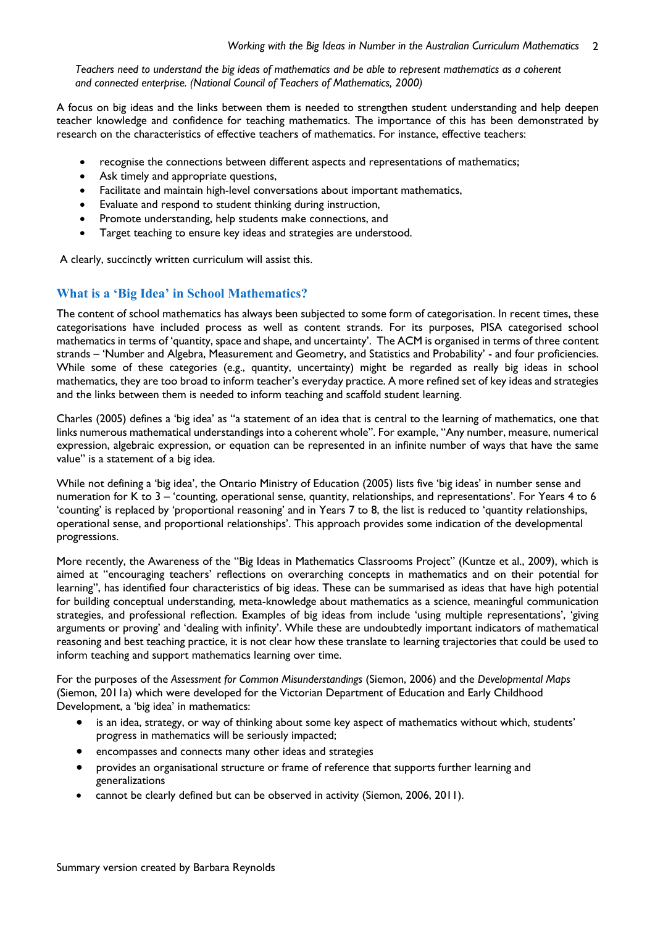*Teachers need to understand the big ideas of mathematics and be able to represent mathematics as a coherent and connected enterprise. (National Council of Teachers of Mathematics, 2000)* 

A focus on big ideas and the links between them is needed to strengthen student understanding and help deepen teacher knowledge and confidence for teaching mathematics. The importance of this has been demonstrated by research on the characteristics of effective teachers of mathematics. For instance, effective teachers:

- recognise the connections between different aspects and representations of mathematics;
- Ask timely and appropriate questions,
- Facilitate and maintain high-level conversations about important mathematics,
- Evaluate and respond to student thinking during instruction,
- Promote understanding, help students make connections, and
- Target teaching to ensure key ideas and strategies are understood.

A clearly, succinctly written curriculum will assist this.

## **What is a 'Big Idea' in School Mathematics?**

The content of school mathematics has always been subjected to some form of categorisation. In recent times, these categorisations have included process as well as content strands. For its purposes, PISA categorised school mathematics in terms of 'quantity, space and shape, and uncertainty'. The ACM is organised in terms of three content strands – 'Number and Algebra, Measurement and Geometry, and Statistics and Probability' - and four proficiencies. While some of these categories (e.g., quantity, uncertainty) might be regarded as really big ideas in school mathematics, they are too broad to inform teacher's everyday practice. A more refined set of key ideas and strategies and the links between them is needed to inform teaching and scaffold student learning.

Charles (2005) defines a 'big idea' as "a statement of an idea that is central to the learning of mathematics, one that links numerous mathematical understandings into a coherent whole". For example, "Any number, measure, numerical expression, algebraic expression, or equation can be represented in an infinite number of ways that have the same value" is a statement of a big idea.

While not defining a 'big idea', the Ontario Ministry of Education (2005) lists five 'big ideas' in number sense and numeration for K to 3 – 'counting, operational sense, quantity, relationships, and representations'. For Years 4 to 6 'counting' is replaced by 'proportional reasoning' and in Years 7 to 8, the list is reduced to 'quantity relationships, operational sense, and proportional relationships'. This approach provides some indication of the developmental progressions.

More recently, the Awareness of the "Big Ideas in Mathematics Classrooms Project" (Kuntze et al., 2009), which is aimed at "encouraging teachers' reflections on overarching concepts in mathematics and on their potential for learning", has identified four characteristics of big ideas. These can be summarised as ideas that have high potential for building conceptual understanding, meta-knowledge about mathematics as a science, meaningful communication strategies, and professional reflection. Examples of big ideas from include 'using multiple representations', 'giving arguments or proving' and 'dealing with infinity'. While these are undoubtedly important indicators of mathematical reasoning and best teaching practice, it is not clear how these translate to learning trajectories that could be used to inform teaching and support mathematics learning over time.

For the purposes of the *Assessment for Common Misunderstandings* (Siemon, 2006) and the *Developmental Maps*  (Siemon, 2011a) which were developed for the Victorian Department of Education and Early Childhood Development, a 'big idea' in mathematics:

- is an idea, strategy, or way of thinking about some key aspect of mathematics without which, students' progress in mathematics will be seriously impacted;
- encompasses and connects many other ideas and strategies
- provides an organisational structure or frame of reference that supports further learning and generalizations
- cannot be clearly defined but can be observed in activity (Siemon, 2006, 2011).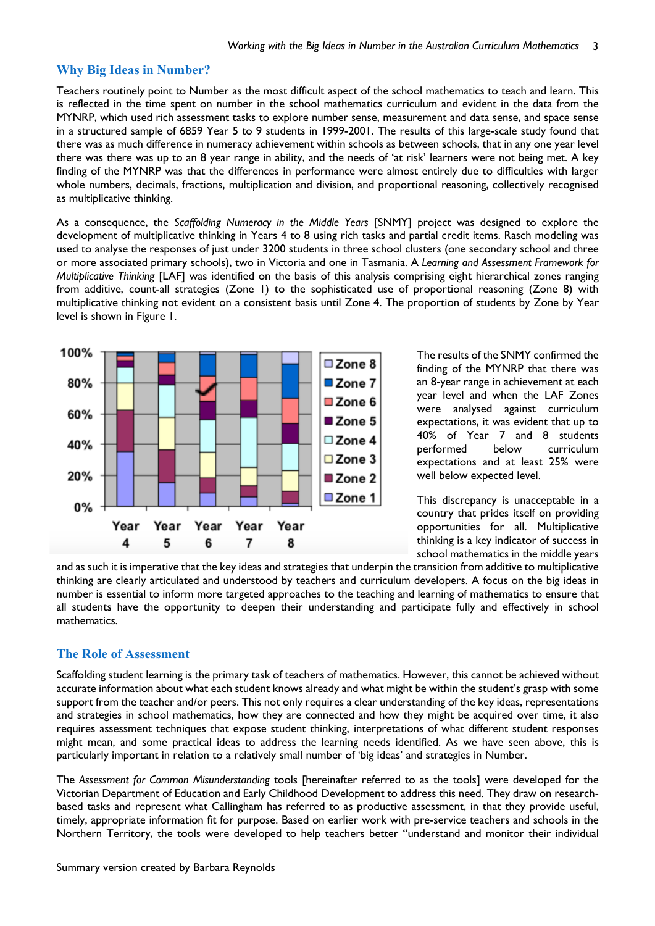#### **Why Big Ideas in Number?**

Teachers routinely point to Number as the most difficult aspect of the school mathematics to teach and learn. This is reflected in the time spent on number in the school mathematics curriculum and evident in the data from the MYNRP, which used rich assessment tasks to explore number sense, measurement and data sense, and space sense in a structured sample of 6859 Year 5 to 9 students in 1999-2001. The results of this large-scale study found that there was as much difference in numeracy achievement within schools as between schools, that in any one year level there was there was up to an 8 year range in ability, and the needs of 'at risk' learners were not being met. A key finding of the MYNRP was that the differences in performance were almost entirely due to difficulties with larger whole numbers, decimals, fractions, multiplication and division, and proportional reasoning, collectively recognised as multiplicative thinking.

As a consequence, the *Scaffolding Numeracy in the Middle Years* [SNMY] project was designed to explore the development of multiplicative thinking in Years 4 to 8 using rich tasks and partial credit items. Rasch modeling was used to analyse the responses of just under 3200 students in three school clusters (one secondary school and three or more associated primary schools), two in Victoria and one in Tasmania. A *Learning and Assessment Framework for Multiplicative Thinking* [LAF] was identified on the basis of this analysis comprising eight hierarchical zones ranging from additive, count-all strategies (Zone 1) to the sophisticated use of proportional reasoning (Zone 8) with multiplicative thinking not evident on a consistent basis until Zone 4. The proportion of students by Zone by Year level is shown in Figure 1.



The results of the SNMY confirmed the finding of the MYNRP that there was an 8-year range in achievement at each year level and when the LAF Zones were analysed against curriculum expectations, it was evident that up to 40% of Year 7 and 8 students performed below curriculum expectations and at least 25% were well below expected level.

This discrepancy is unacceptable in a country that prides itself on providing opportunities for all. Multiplicative thinking is a key indicator of success in school mathematics in the middle years

and as such it is imperative that the key ideas and strategies that underpin the transition from additive to multiplicative thinking are clearly articulated and understood by teachers and curriculum developers. A focus on the big ideas in number is essential to inform more targeted approaches to the teaching and learning of mathematics to ensure that all students have the opportunity to deepen their understanding and participate fully and effectively in school mathematics.

#### **The Role of Assessment**

Scaffolding student learning is the primary task of teachers of mathematics. However, this cannot be achieved without accurate information about what each student knows already and what might be within the student's grasp with some support from the teacher and/or peers. This not only requires a clear understanding of the key ideas, representations and strategies in school mathematics, how they are connected and how they might be acquired over time, it also requires assessment techniques that expose student thinking, interpretations of what different student responses might mean, and some practical ideas to address the learning needs identified. As we have seen above, this is particularly important in relation to a relatively small number of 'big ideas' and strategies in Number.

The *Assessment for Common Misunderstanding* tools [hereinafter referred to as the tools] were developed for the Victorian Department of Education and Early Childhood Development to address this need. They draw on researchbased tasks and represent what Callingham has referred to as productive assessment, in that they provide useful, timely, appropriate information fit for purpose. Based on earlier work with pre-service teachers and schools in the Northern Territory, the tools were developed to help teachers better "understand and monitor their individual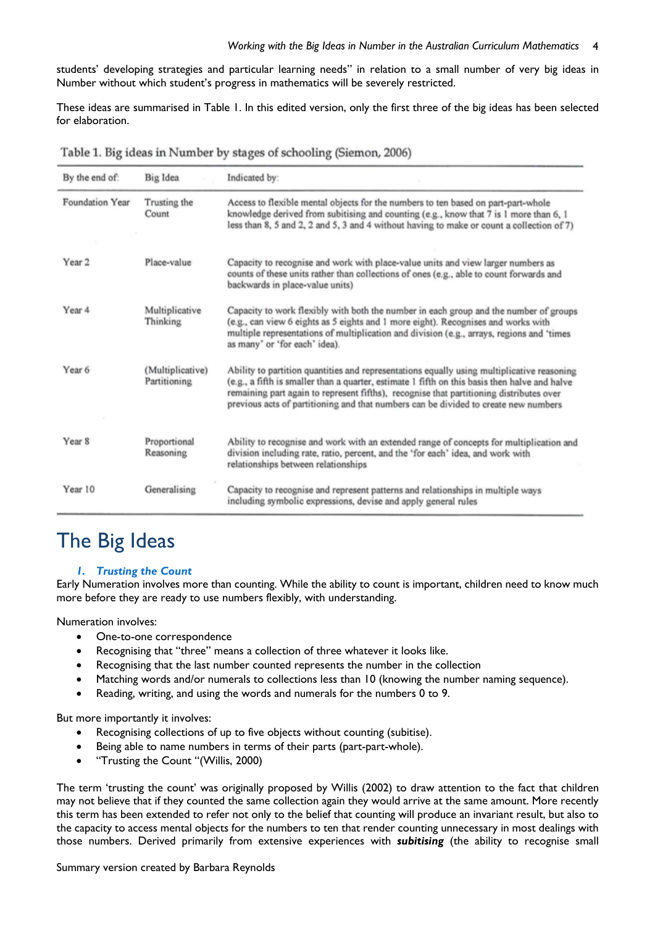students' developing strategies and particular learning needs" in relation to a small number of very big ideas in Number without which student's progress in mathematics will be severely restricted.

These ideas are summarised in Table 1. In this edited version, only the first three of the big ideas has been selected for elaboration.

| Table 1. Big ideas in Number by stages of schooling (Siemon, 2006) |  |  |  |  |
|--------------------------------------------------------------------|--|--|--|--|
|--------------------------------------------------------------------|--|--|--|--|

| By the end of:    | Big Idea                         | Indicated by:                                                                                                                                                                                                                                                                                                                                                                 |
|-------------------|----------------------------------|-------------------------------------------------------------------------------------------------------------------------------------------------------------------------------------------------------------------------------------------------------------------------------------------------------------------------------------------------------------------------------|
| Foundation Year   | Trusting the<br>Count            | Access to flexible mental objects for the numbers to ten based on part-part-whole<br>knowledge derived from subitising and counting (e.g., know that 7 is 1 more than 6, 1<br>less than 8, 5 and 2, 2 and 5, 3 and 4 without having to make or count a collection of 7)                                                                                                       |
| Year <sub>2</sub> | Place-value                      | Capacity to recognise and work with place-value units and view larger numbers as<br>counts of these units rather than collections of ones (e.g., able to count forwards and<br>backwards in place-value units)                                                                                                                                                                |
| Year 4            | Multiplicative<br>Thinking       | Capacity to work flexibly with both the number in each group and the number of groups<br>(e.g., can view 6 eights as 5 eights and 1 more eight). Recognises and works with<br>multiple representations of multiplication and division (e.g., arrays, regions and 'times<br>as many' or 'for each' idea).                                                                      |
| Year 6            | (Multiplicative)<br>Partitioning | Ability to partition quantities and representations equally using multiplicative reasoning<br>(e.g., a fifth is smaller than a quarter, estimate 1 fifth on this basis then halve and halve<br>remaining part again to represent fifths), recognise that partitioning distributes over<br>previous acts of partitioning and that numbers can be divided to create new numbers |
| Year <sub>8</sub> | Proportional<br>Reasoning        | Ability to recognise and work with an extended range of concepts for multiplication and<br>division including rate, ratio, percent, and the 'for each' idea, and work with<br>relationships between relationships                                                                                                                                                             |
| Year 10           | Generalising                     | Capacity to recognise and represent patterns and relationships in multiple ways<br>including symbolic expressions, devise and apply general rules                                                                                                                                                                                                                             |

# The Big Ideas

#### *1. Trusting the Count*

Early Numeration involves more than counting. While the ability to count is important, children need to know much more before they are ready to use numbers flexibly, with understanding.

Numeration involves:

- One-to-one correspondence
- Recognising that "three" means a collection of three whatever it looks like.
- Recognising that the last number counted represents the number in the collection
- Matching words and/or numerals to collections less than 10 (knowing the number naming sequence).
- Reading, writing, and using the words and numerals for the numbers 0 to 9.

But more importantly it involves:

- Recognising collections of up to five objects without counting (subitise).
- Being able to name numbers in terms of their parts (part-part-whole).
- "Trusting the Count "(Willis, 2000)

The term 'trusting the count' was originally proposed by Willis (2002) to draw attention to the fact that children may not believe that if they counted the same collection again they would arrive at the same amount. More recently this term has been extended to refer not only to the belief that counting will produce an invariant result, but also to the capacity to access mental objects for the numbers to ten that render counting unnecessary in most dealings with those numbers. Derived primarily from extensive experiences with *subitising* (the ability to recognise small

Summary version created by Barbara Reynolds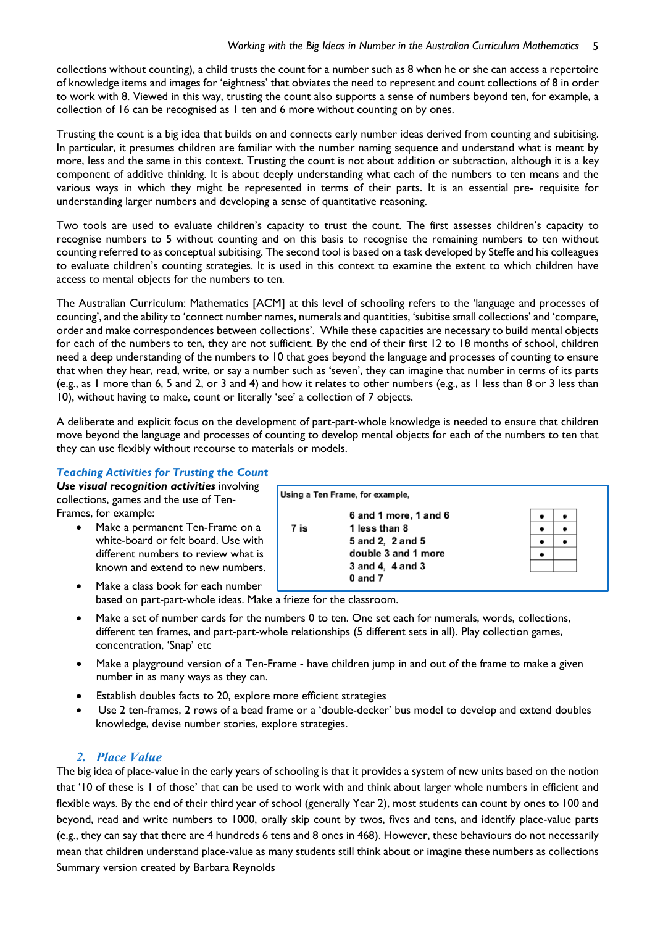collections without counting), a child trusts the count for a number such as 8 when he or she can access a repertoire of knowledge items and images for 'eightness' that obviates the need to represent and count collections of 8 in order to work with 8. Viewed in this way, trusting the count also supports a sense of numbers beyond ten, for example, a collection of 16 can be recognised as  $\overline{a}$  ten and 6 more without counting on by ones.

Trusting the count is a big idea that builds on and connects early number ideas derived from counting and subitising. In particular, it presumes children are familiar with the number naming sequence and understand what is meant by more, less and the same in this context. Trusting the count is not about addition or subtraction, although it is a key component of additive thinking. It is about deeply understanding what each of the numbers to ten means and the various ways in which they might be represented in terms of their parts. It is an essential pre- requisite for understanding larger numbers and developing a sense of quantitative reasoning.

Two tools are used to evaluate children's capacity to trust the count. The first assesses children's capacity to recognise numbers to 5 without counting and on this basis to recognise the remaining numbers to ten without counting referred to as conceptual subitising. The second tool is based on a task developed by Steffe and his colleagues to evaluate children's counting strategies. It is used in this context to examine the extent to which children have access to mental objects for the numbers to ten.

The Australian Curriculum: Mathematics [ACM] at this level of schooling refers to the 'language and processes of counting', and the ability to 'connect number names, numerals and quantities, 'subitise small collections' and 'compare, order and make correspondences between collections'. While these capacities are necessary to build mental objects for each of the numbers to ten, they are not sufficient. By the end of their first 12 to 18 months of school, children need a deep understanding of the numbers to 10 that goes beyond the language and processes of counting to ensure that when they hear, read, write, or say a number such as 'seven', they can imagine that number in terms of its parts (e.g., as 1 more than 6, 5 and 2, or 3 and 4) and how it relates to other numbers (e.g., as 1 less than 8 or 3 less than 10), without having to make, count or literally 'see' a collection of 7 objects.

A deliberate and explicit focus on the development of part-part-whole knowledge is needed to ensure that children move beyond the language and processes of counting to develop mental objects for each of the numbers to ten that they can use flexibly without recourse to materials or models.

### *Teaching Activities for Trusting the Count*

*Use visual recognition activities* involving collections, games and the use of Ten-Frames, for example:

- Make a permanent Ten-Frame on a white-board or felt board. Use with different numbers to review what is known and extend to new numbers.
- Using a Ten Frame, for example, 6 and 1 more, 1 and 6  $\bullet$ 7 is 1 less than 8  $\bullet$ 5 and 2, 2 and 5  $\blacksquare$  $\bullet$ double 3 and 1 more 3 and 4. 4 and 3  $0$  and  $7$

Make a class book for each number based on part-part-whole ideas. Make a frieze for the classroom.

- Make a set of number cards for the numbers 0 to ten. One set each for numerals, words, collections, different ten frames, and part-part-whole relationships (5 different sets in all). Play collection games, concentration, 'Snap' etc
- Make a playground version of a Ten-Frame have children jump in and out of the frame to make a given number in as many ways as they can.
- Establish doubles facts to 20, explore more efficient strategies
- Use 2 ten-frames, 2 rows of a bead frame or a 'double-decker' bus model to develop and extend doubles knowledge, devise number stories, explore strategies.

### *2. Place Value*

Summary version created by Barbara Reynolds The big idea of place-value in the early years of schooling is that it provides a system of new units based on the notion that '10 of these is 1 of those' that can be used to work with and think about larger whole numbers in efficient and flexible ways. By the end of their third year of school (generally Year 2), most students can count by ones to 100 and beyond, read and write numbers to 1000, orally skip count by twos, fives and tens, and identify place-value parts (e.g., they can say that there are 4 hundreds 6 tens and 8 ones in 468). However, these behaviours do not necessarily mean that children understand place-value as many students still think about or imagine these numbers as collections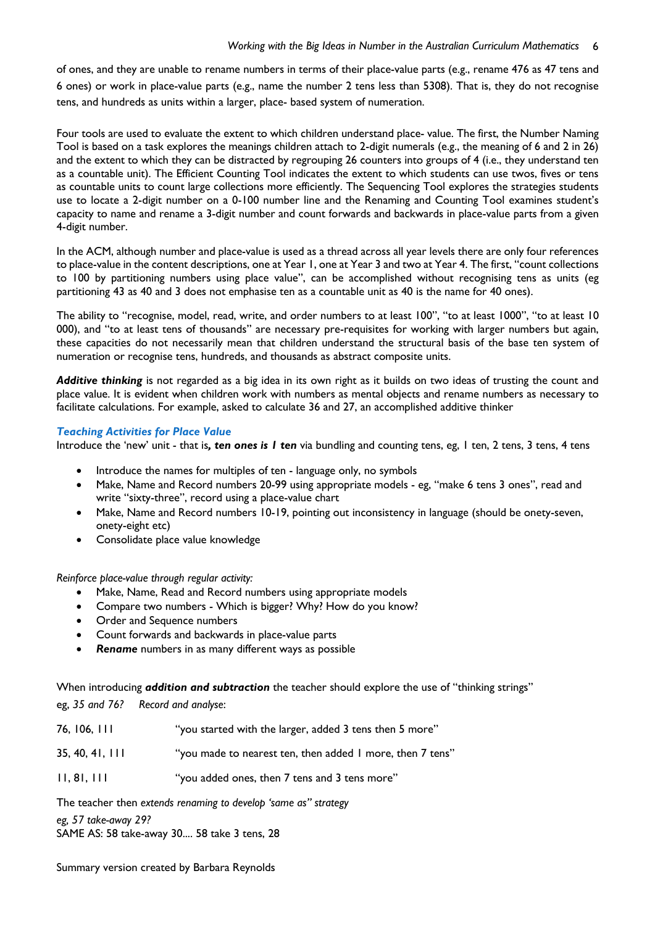of ones, and they are unable to rename numbers in terms of their place-value parts (e.g., rename 476 as 47 tens and 6 ones) or work in place-value parts (e.g., name the number 2 tens less than 5308). That is, they do not recognise tens, and hundreds as units within a larger, place- based system of numeration.

Four tools are used to evaluate the extent to which children understand place- value. The first, the Number Naming Tool is based on a task explores the meanings children attach to 2-digit numerals (e.g., the meaning of 6 and 2 in 26) and the extent to which they can be distracted by regrouping 26 counters into groups of 4 (i.e., they understand ten as a countable unit). The Efficient Counting Tool indicates the extent to which students can use twos, fives or tens as countable units to count large collections more efficiently. The Sequencing Tool explores the strategies students use to locate a 2-digit number on a 0-100 number line and the Renaming and Counting Tool examines student's capacity to name and rename a 3-digit number and count forwards and backwards in place-value parts from a given 4-digit number.

In the ACM, although number and place-value is used as a thread across all year levels there are only four references to place-value in the content descriptions, one at Year 1, one at Year 3 and two at Year 4. The first, "count collections to 100 by partitioning numbers using place value", can be accomplished without recognising tens as units (eg partitioning 43 as 40 and 3 does not emphasise ten as a countable unit as 40 is the name for 40 ones).

The ability to "recognise, model, read, write, and order numbers to at least 100", "to at least 1000", "to at least 10 000), and "to at least tens of thousands" are necessary pre-requisites for working with larger numbers but again, these capacities do not necessarily mean that children understand the structural basis of the base ten system of numeration or recognise tens, hundreds, and thousands as abstract composite units.

*Additive thinking* is not regarded as a big idea in its own right as it builds on two ideas of trusting the count and place value. It is evident when children work with numbers as mental objects and rename numbers as necessary to facilitate calculations. For example, asked to calculate 36 and 27, an accomplished additive thinker

#### *Teaching Activities for Place Value*

Introduce the 'new' unit - that is*, ten ones is 1 ten* via bundling and counting tens, eg, 1 ten, 2 tens, 3 tens, 4 tens

- Introduce the names for multiples of ten language only, no symbols
- Make, Name and Record numbers 20-99 using appropriate models eg, "make 6 tens 3 ones", read and write "sixty-three", record using a place-value chart
- Make, Name and Record numbers 10-19, pointing out inconsistency in language (should be onety-seven, onety-eight etc)
- Consolidate place value knowledge

*Reinforce place-value through regular activity:*

- Make, Name, Read and Record numbers using appropriate models
- Compare two numbers Which is bigger? Why? How do you know?
- Order and Sequence numbers
- Count forwards and backwards in place-value parts
- *Rename* numbers in as many different ways as possible

When introducing *addition and subtraction* the teacher should explore the use of "thinking strings"

eg, *35 and 76? Record and analyse*:

| 76, 106, 111    | "you started with the larger, added 3 tens then 5 more"   |
|-----------------|-----------------------------------------------------------|
| 35, 40, 41, 111 | "you made to nearest ten, then added I more, then 7 tens" |
| 11, 81, 111     | "you added ones, then 7 tens and 3 tens more"             |

The teacher then *extends renaming to develop 'same as" strategy eg, 57 take-away 29?* SAME AS: 58 take-away 30.... 58 take 3 tens, 28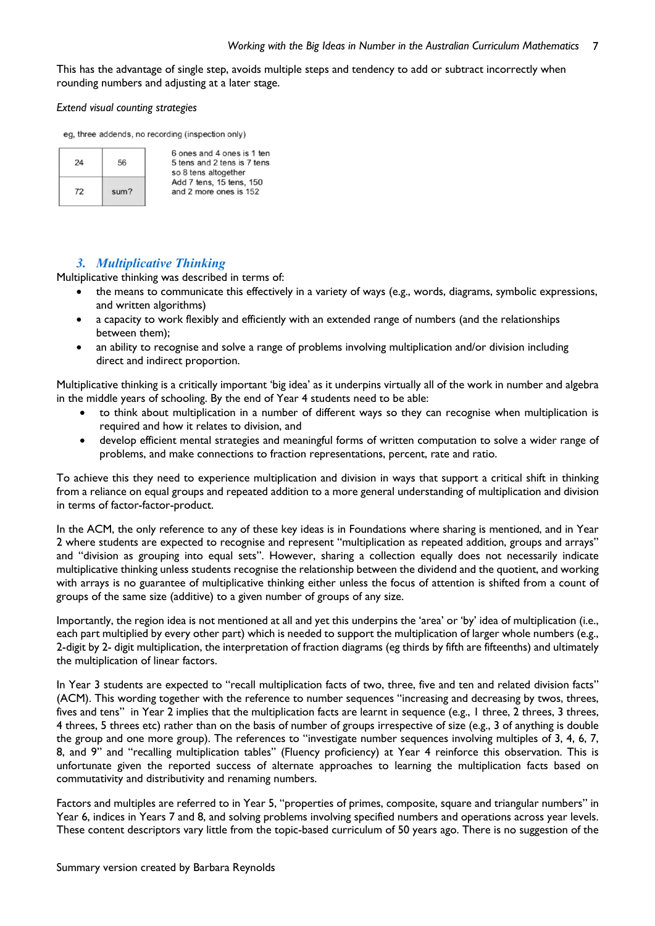This has the advantage of single step, avoids multiple steps and tendency to add or subtract incorrectly when rounding numbers and adjusting at a later stage.

#### *Extend visual counting strategies*

eg, three addends, no recording (inspection only)

| 24 | 56   |
|----|------|
| 72 | sum? |

6 ones and 4 ones is 1 ten 5 tens and 2 tens is 7 tens so 8 tens altogether Add 7 tens, 15 tens, 150 and 2 more ones is 152

# *3. Multiplicative Thinking*

Multiplicative thinking was described in terms of:

- the means to communicate this effectively in a variety of ways (e.g., words, diagrams, symbolic expressions, and written algorithms)
- a capacity to work flexibly and efficiently with an extended range of numbers (and the relationships between them);
- an ability to recognise and solve a range of problems involving multiplication and/or division including direct and indirect proportion.

Multiplicative thinking is a critically important 'big idea' as it underpins virtually all of the work in number and algebra in the middle years of schooling. By the end of Year 4 students need to be able:

- to think about multiplication in a number of different ways so they can recognise when multiplication is required and how it relates to division, and
- develop efficient mental strategies and meaningful forms of written computation to solve a wider range of problems, and make connections to fraction representations, percent, rate and ratio.

To achieve this they need to experience multiplication and division in ways that support a critical shift in thinking from a reliance on equal groups and repeated addition to a more general understanding of multiplication and division in terms of factor-factor-product.

In the ACM, the only reference to any of these key ideas is in Foundations where sharing is mentioned, and in Year 2 where students are expected to recognise and represent "multiplication as repeated addition, groups and arrays" and "division as grouping into equal sets". However, sharing a collection equally does not necessarily indicate multiplicative thinking unless students recognise the relationship between the dividend and the quotient, and working with arrays is no guarantee of multiplicative thinking either unless the focus of attention is shifted from a count of groups of the same size (additive) to a given number of groups of any size.

Importantly, the region idea is not mentioned at all and yet this underpins the 'area' or 'by' idea of multiplication (i.e., each part multiplied by every other part) which is needed to support the multiplication of larger whole numbers (e.g., 2-digit by 2- digit multiplication, the interpretation of fraction diagrams (eg thirds by fifth are fifteenths) and ultimately the multiplication of linear factors.

In Year 3 students are expected to "recall multiplication facts of two, three, five and ten and related division facts" (ACM). This wording together with the reference to number sequences "increasing and decreasing by twos, threes, fives and tens" in Year 2 implies that the multiplication facts are learnt in sequence (e.g., 1 three, 2 threes, 3 threes, 4 threes, 5 threes etc) rather than on the basis of number of groups irrespective of size (e.g., 3 of anything is double the group and one more group). The references to "investigate number sequences involving multiples of 3, 4, 6, 7, 8, and 9" and "recalling multiplication tables" (Fluency proficiency) at Year 4 reinforce this observation. This is unfortunate given the reported success of alternate approaches to learning the multiplication facts based on commutativity and distributivity and renaming numbers.

Factors and multiples are referred to in Year 5, "properties of primes, composite, square and triangular numbers" in Year 6, indices in Years 7 and 8, and solving problems involving specified numbers and operations across year levels. These content descriptors vary little from the topic-based curriculum of 50 years ago. There is no suggestion of the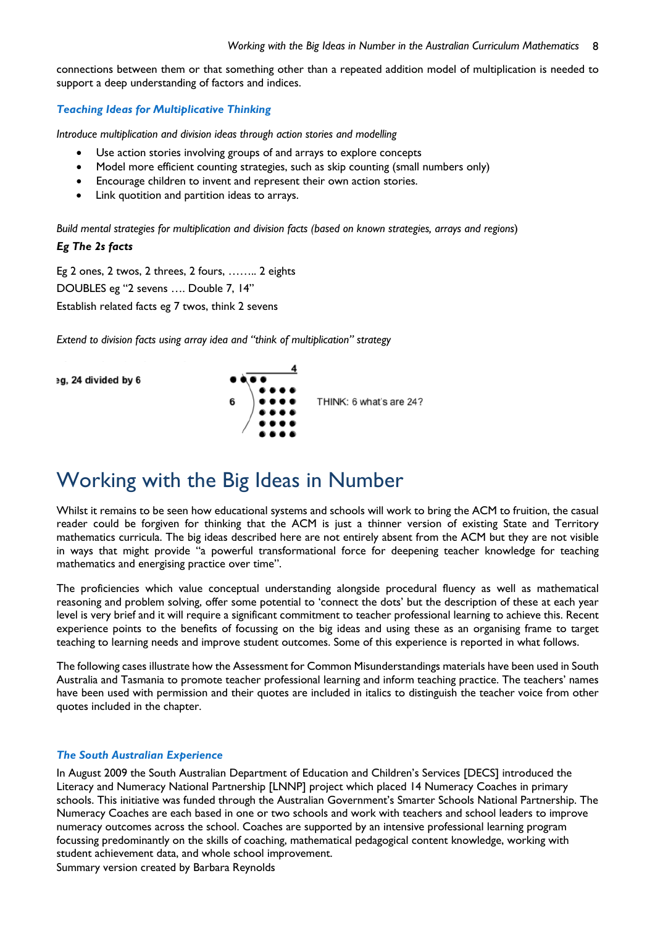connections between them or that something other than a repeated addition model of multiplication is needed to support a deep understanding of factors and indices.

#### *Teaching Ideas for Multiplicative Thinking*

*Introduce multiplication and division ideas through action stories and modelling*

- Use action stories involving groups of and arrays to explore concepts
- Model more efficient counting strategies, such as skip counting (small numbers only)
- Encourage children to invent and represent their own action stories.
- Link quotition and partition ideas to arrays.

*Build mental strategies for multiplication and division facts (based on known strategies, arrays and regions*)

### *Eg The 2s facts*

Eg 2 ones, 2 twos, 2 threes, 2 fours, …….. 2 eights DOUBLES eg "2 sevens …. Double 7, 14" Establish related facts eg 7 twos, think 2 sevens

*Extend to division facts using array idea and "think of multiplication" strategy*

eg, 24 divided by 6



# Working with the Big Ideas in Number

Whilst it remains to be seen how educational systems and schools will work to bring the ACM to fruition, the casual reader could be forgiven for thinking that the ACM is just a thinner version of existing State and Territory mathematics curricula. The big ideas described here are not entirely absent from the ACM but they are not visible in ways that might provide "a powerful transformational force for deepening teacher knowledge for teaching mathematics and energising practice over time".

The proficiencies which value conceptual understanding alongside procedural fluency as well as mathematical reasoning and problem solving, offer some potential to 'connect the dots' but the description of these at each year level is very brief and it will require a significant commitment to teacher professional learning to achieve this. Recent experience points to the benefits of focussing on the big ideas and using these as an organising frame to target teaching to learning needs and improve student outcomes. Some of this experience is reported in what follows.

The following cases illustrate how the Assessment for Common Misunderstandings materials have been used in South Australia and Tasmania to promote teacher professional learning and inform teaching practice. The teachers' names have been used with permission and their quotes are included in italics to distinguish the teacher voice from other quotes included in the chapter.

#### *The South Australian Experience*

In August 2009 the South Australian Department of Education and Children's Services [DECS] introduced the Literacy and Numeracy National Partnership [LNNP] project which placed 14 Numeracy Coaches in primary schools. This initiative was funded through the Australian Government's Smarter Schools National Partnership. The Numeracy Coaches are each based in one or two schools and work with teachers and school leaders to improve numeracy outcomes across the school. Coaches are supported by an intensive professional learning program focussing predominantly on the skills of coaching, mathematical pedagogical content knowledge, working with student achievement data, and whole school improvement.

Summary version created by Barbara Reynolds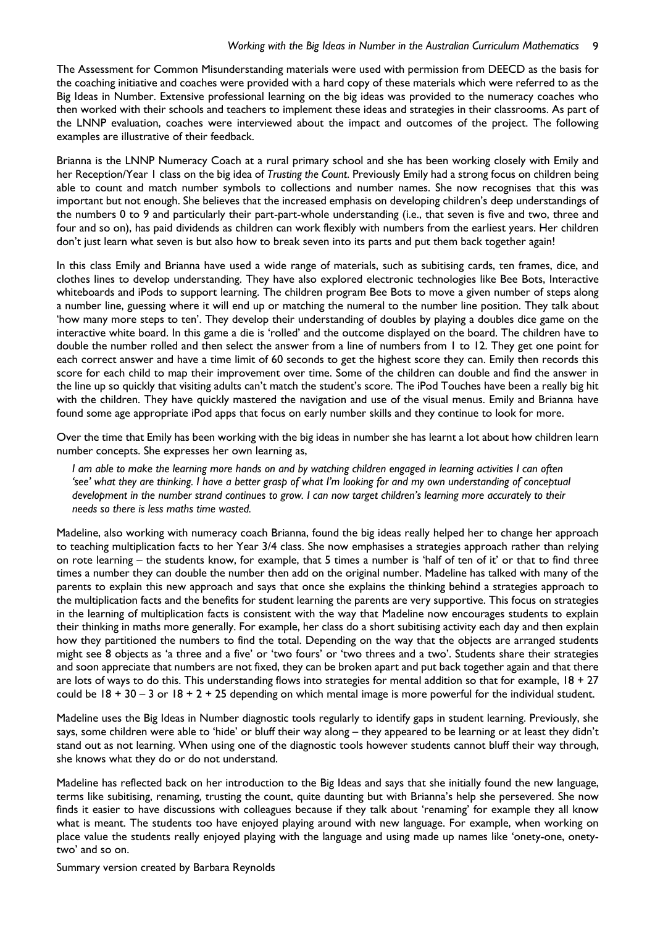#### *Working with the Big Ideas in Number in the Australian Curriculum Mathematics* 9

The Assessment for Common Misunderstanding materials were used with permission from DEECD as the basis for the coaching initiative and coaches were provided with a hard copy of these materials which were referred to as the Big Ideas in Number. Extensive professional learning on the big ideas was provided to the numeracy coaches who then worked with their schools and teachers to implement these ideas and strategies in their classrooms. As part of the LNNP evaluation, coaches were interviewed about the impact and outcomes of the project. The following examples are illustrative of their feedback.

Brianna is the LNNP Numeracy Coach at a rural primary school and she has been working closely with Emily and her Reception/Year 1 class on the big idea of *Trusting the Count*. Previously Emily had a strong focus on children being able to count and match number symbols to collections and number names. She now recognises that this was important but not enough. She believes that the increased emphasis on developing children's deep understandings of the numbers 0 to 9 and particularly their part-part-whole understanding (i.e., that seven is five and two, three and four and so on), has paid dividends as children can work flexibly with numbers from the earliest years. Her children don't just learn what seven is but also how to break seven into its parts and put them back together again!

In this class Emily and Brianna have used a wide range of materials, such as subitising cards, ten frames, dice, and clothes lines to develop understanding. They have also explored electronic technologies like Bee Bots, Interactive whiteboards and iPods to support learning. The children program Bee Bots to move a given number of steps along a number line, guessing where it will end up or matching the numeral to the number line position. They talk about 'how many more steps to ten'. They develop their understanding of doubles by playing a doubles dice game on the interactive white board. In this game a die is 'rolled' and the outcome displayed on the board. The children have to double the number rolled and then select the answer from a line of numbers from 1 to 12. They get one point for each correct answer and have a time limit of 60 seconds to get the highest score they can. Emily then records this score for each child to map their improvement over time. Some of the children can double and find the answer in the line up so quickly that visiting adults can't match the student's score. The iPod Touches have been a really big hit with the children. They have quickly mastered the navigation and use of the visual menus. Emily and Brianna have found some age appropriate iPod apps that focus on early number skills and they continue to look for more.

Over the time that Emily has been working with the big ideas in number she has learnt a lot about how children learn number concepts. She expresses her own learning as,

*I am able to make the learning more hands on and by watching children engaged in learning activities I can often 'see' what they are thinking. I have a better grasp of what I'm looking for and my own understanding of conceptual development in the number strand continues to grow. I can now target children's learning more accurately to their needs so there is less maths time wasted.* 

Madeline, also working with numeracy coach Brianna, found the big ideas really helped her to change her approach to teaching multiplication facts to her Year 3/4 class. She now emphasises a strategies approach rather than relying on rote learning – the students know, for example, that 5 times a number is 'half of ten of it' or that to find three times a number they can double the number then add on the original number. Madeline has talked with many of the parents to explain this new approach and says that once she explains the thinking behind a strategies approach to the multiplication facts and the benefits for student learning the parents are very supportive. This focus on strategies in the learning of multiplication facts is consistent with the way that Madeline now encourages students to explain their thinking in maths more generally. For example, her class do a short subitising activity each day and then explain how they partitioned the numbers to find the total. Depending on the way that the objects are arranged students might see 8 objects as 'a three and a five' or 'two fours' or 'two threes and a two'. Students share their strategies and soon appreciate that numbers are not fixed, they can be broken apart and put back together again and that there are lots of ways to do this. This understanding flows into strategies for mental addition so that for example,  $18 + 27$ could be  $18 + 30 - 3$  or  $18 + 2 + 25$  depending on which mental image is more powerful for the individual student.

Madeline uses the Big Ideas in Number diagnostic tools regularly to identify gaps in student learning. Previously, she says, some children were able to 'hide' or bluff their way along – they appeared to be learning or at least they didn't stand out as not learning. When using one of the diagnostic tools however students cannot bluff their way through, she knows what they do or do not understand.

Madeline has reflected back on her introduction to the Big Ideas and says that she initially found the new language, terms like subitising, renaming, trusting the count, quite daunting but with Brianna's help she persevered. She now finds it easier to have discussions with colleagues because if they talk about 'renaming' for example they all know what is meant. The students too have enjoyed playing around with new language. For example, when working on place value the students really enjoyed playing with the language and using made up names like 'onety-one, onetytwo' and so on.

Summary version created by Barbara Reynolds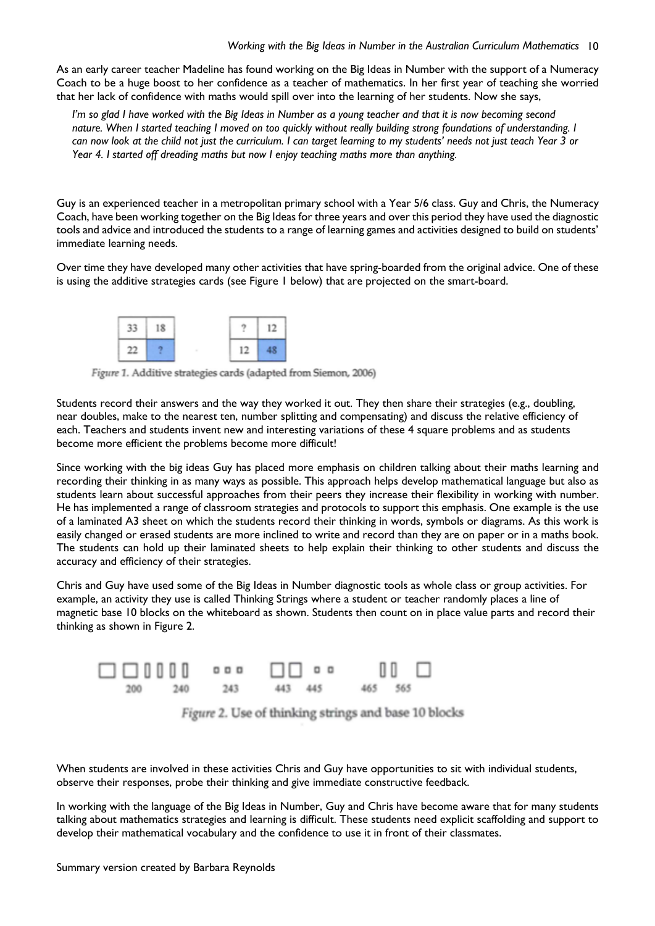As an early career teacher Madeline has found working on the Big Ideas in Number with the support of a Numeracy Coach to be a huge boost to her confidence as a teacher of mathematics. In her first year of teaching she worried that her lack of confidence with maths would spill over into the learning of her students. Now she says,

*I'm so glad I have worked with the Big Ideas in Number as a young teacher and that it is now becoming second* nature. When I started teaching I moved on too quickly without really building strong foundations of understanding. I *can now look at the child not just the curriculum. I can target learning to my students' needs not just teach Year 3 or Year 4. I started off dreading maths but now I enjoy teaching maths more than anything.* 

Guy is an experienced teacher in a metropolitan primary school with a Year 5/6 class. Guy and Chris, the Numeracy Coach, have been working together on the Big Ideas for three years and over this period they have used the diagnostic tools and advice and introduced the students to a range of learning games and activities designed to build on students' immediate learning needs.

Over time they have developed many other activities that have spring-boarded from the original advice. One of these is using the additive strategies cards (see Figure 1 below) that are projected on the smart-board.



Figure 1. Additive strategies cards (adapted from Siemon, 2006)

Students record their answers and the way they worked it out. They then share their strategies (e.g., doubling, near doubles, make to the nearest ten, number splitting and compensating) and discuss the relative efficiency of each. Teachers and students invent new and interesting variations of these 4 square problems and as students become more efficient the problems become more difficult!

Since working with the big ideas Guy has placed more emphasis on children talking about their maths learning and recording their thinking in as many ways as possible. This approach helps develop mathematical language but also as students learn about successful approaches from their peers they increase their flexibility in working with number. He has implemented a range of classroom strategies and protocols to support this emphasis. One example is the use of a laminated A3 sheet on which the students record their thinking in words, symbols or diagrams. As this work is easily changed or erased students are more inclined to write and record than they are on paper or in a maths book. The students can hold up their laminated sheets to help explain their thinking to other students and discuss the accuracy and efficiency of their strategies.

Chris and Guy have used some of the Big Ideas in Number diagnostic tools as whole class or group activities. For example, an activity they use is called Thinking Strings where a student or teacher randomly places a line of magnetic base 10 blocks on the whiteboard as shown. Students then count on in place value parts and record their thinking as shown in Figure 2.



Figure 2. Use of thinking strings and base 10 blocks

When students are involved in these activities Chris and Guy have opportunities to sit with individual students, observe their responses, probe their thinking and give immediate constructive feedback.

In working with the language of the Big Ideas in Number, Guy and Chris have become aware that for many students talking about mathematics strategies and learning is difficult. These students need explicit scaffolding and support to develop their mathematical vocabulary and the confidence to use it in front of their classmates.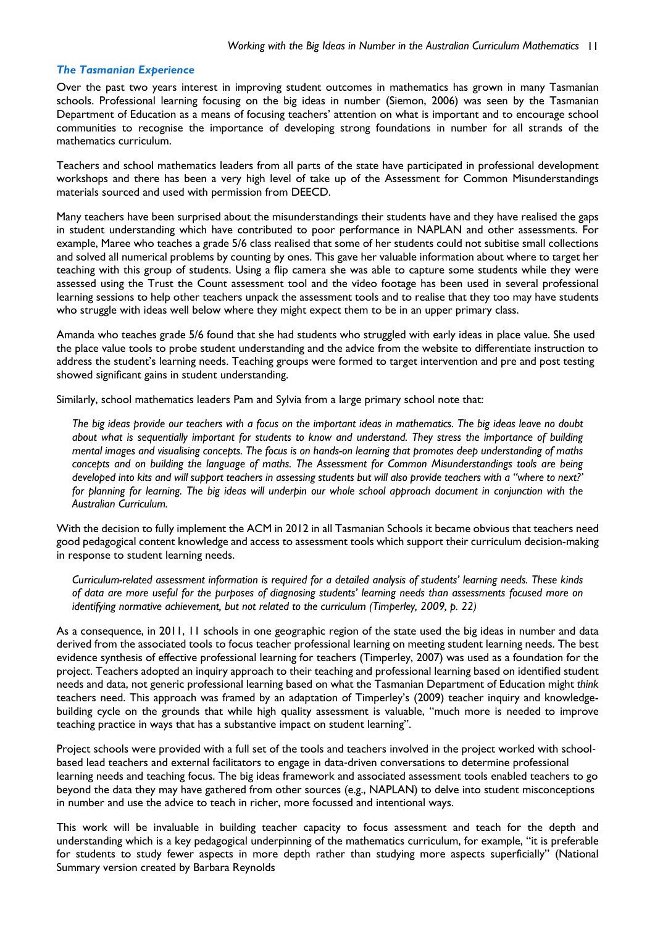#### *The Tasmanian Experience*

Over the past two years interest in improving student outcomes in mathematics has grown in many Tasmanian schools. Professional learning focusing on the big ideas in number (Siemon, 2006) was seen by the Tasmanian Department of Education as a means of focusing teachers' attention on what is important and to encourage school communities to recognise the importance of developing strong foundations in number for all strands of the mathematics curriculum.

Teachers and school mathematics leaders from all parts of the state have participated in professional development workshops and there has been a very high level of take up of the Assessment for Common Misunderstandings materials sourced and used with permission from DEECD.

Many teachers have been surprised about the misunderstandings their students have and they have realised the gaps in student understanding which have contributed to poor performance in NAPLAN and other assessments. For example, Maree who teaches a grade 5/6 class realised that some of her students could not subitise small collections and solved all numerical problems by counting by ones. This gave her valuable information about where to target her teaching with this group of students. Using a flip camera she was able to capture some students while they were assessed using the Trust the Count assessment tool and the video footage has been used in several professional learning sessions to help other teachers unpack the assessment tools and to realise that they too may have students who struggle with ideas well below where they might expect them to be in an upper primary class.

Amanda who teaches grade 5/6 found that she had students who struggled with early ideas in place value. She used the place value tools to probe student understanding and the advice from the website to differentiate instruction to address the student's learning needs. Teaching groups were formed to target intervention and pre and post testing showed significant gains in student understanding.

Similarly, school mathematics leaders Pam and Sylvia from a large primary school note that:

*The big ideas provide our teachers with a focus on the important ideas in mathematics. The big ideas leave no doubt about what is sequentially important for students to know and understand. They stress the importance of building mental images and visualising concepts. The focus is on hands-on learning that promotes deep understanding of maths concepts and on building the language of maths. The Assessment for Common Misunderstandings tools are being developed into kits and will support teachers in assessing students but will also provide teachers with a "where to next?' for planning for learning. The big ideas will underpin our whole school approach document in conjunction with the Australian Curriculum.* 

With the decision to fully implement the ACM in 2012 in all Tasmanian Schools it became obvious that teachers need good pedagogical content knowledge and access to assessment tools which support their curriculum decision-making in response to student learning needs.

*Curriculum-related assessment information is required for a detailed analysis of students' learning needs. These kinds of data are more useful for the purposes of diagnosing students' learning needs than assessments focused more on identifying normative achievement, but not related to the curriculum (Timperley, 2009, p. 22)* 

As a consequence, in 2011, 11 schools in one geographic region of the state used the big ideas in number and data derived from the associated tools to focus teacher professional learning on meeting student learning needs. The best evidence synthesis of effective professional learning for teachers (Timperley, 2007) was used as a foundation for the project. Teachers adopted an inquiry approach to their teaching and professional learning based on identified student needs and data, not generic professional learning based on what the Tasmanian Department of Education might *think*  teachers need. This approach was framed by an adaptation of Timperley's (2009) teacher inquiry and knowledgebuilding cycle on the grounds that while high quality assessment is valuable, "much more is needed to improve teaching practice in ways that has a substantive impact on student learning".

Project schools were provided with a full set of the tools and teachers involved in the project worked with schoolbased lead teachers and external facilitators to engage in data-driven conversations to determine professional learning needs and teaching focus. The big ideas framework and associated assessment tools enabled teachers to go beyond the data they may have gathered from other sources (e.g., NAPLAN) to delve into student misconceptions in number and use the advice to teach in richer, more focussed and intentional ways.

Summary version created by Barbara Reynolds This work will be invaluable in building teacher capacity to focus assessment and teach for the depth and understanding which is a key pedagogical underpinning of the mathematics curriculum, for example, "it is preferable for students to study fewer aspects in more depth rather than studying more aspects superficially" (National